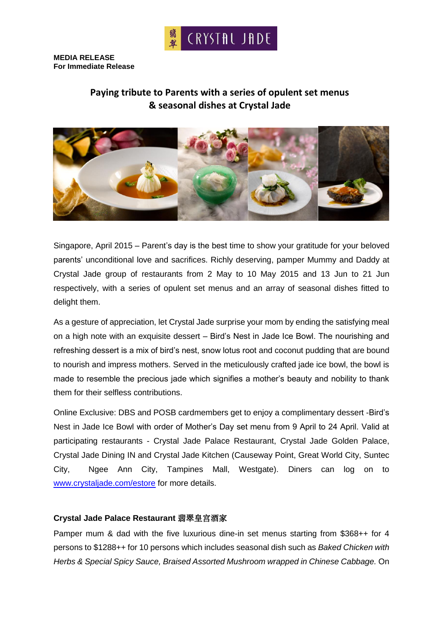

**MEDIA RELEASE For Immediate Release**

# **Paying tribute to Parents with a series of opulent set menus & seasonal dishes at Crystal Jade**



Singapore, April 2015 – Parent's day is the best time to show your gratitude for your beloved parents' unconditional love and sacrifices. Richly deserving, pamper Mummy and Daddy at Crystal Jade group of restaurants from 2 May to 10 May 2015 and 13 Jun to 21 Jun respectively, with a series of opulent set menus and an array of seasonal dishes fitted to delight them.

As a gesture of appreciation, let Crystal Jade surprise your mom by ending the satisfying meal on a high note with an exquisite dessert – Bird's Nest in Jade Ice Bowl. The nourishing and refreshing dessert is a mix of bird's nest, snow lotus root and coconut pudding that are bound to nourish and impress mothers. Served in the meticulously crafted jade ice bowl, the bowl is made to resemble the precious jade which signifies a mother's beauty and nobility to thank them for their selfless contributions.

Online Exclusive: DBS and POSB cardmembers get to enjoy a complimentary dessert -Bird's Nest in Jade Ice Bowl with order of Mother's Day set menu from 9 April to 24 April. Valid at participating restaurants - Crystal Jade Palace Restaurant, Crystal Jade Golden Palace, Crystal Jade Dining IN and Crystal Jade Kitchen (Causeway Point, Great World City, Suntec City, Ngee Ann City, Tampines Mall, Westgate). Diners can log on to [www.crystaljade.com/estore](http://www.crystaljade.com/estore) for more details.

#### **Crystal Jade Palace Restaurant** 翡翠皇宫酒家

Pamper mum & dad with the five luxurious dine-in set menus starting from \$368++ for 4 persons to \$1288++ for 10 persons which includes seasonal dish such as *Baked Chicken with Herbs & Special Spicy Sauce, Braised Assorted Mushroom wrapped in Chinese Cabbage.* On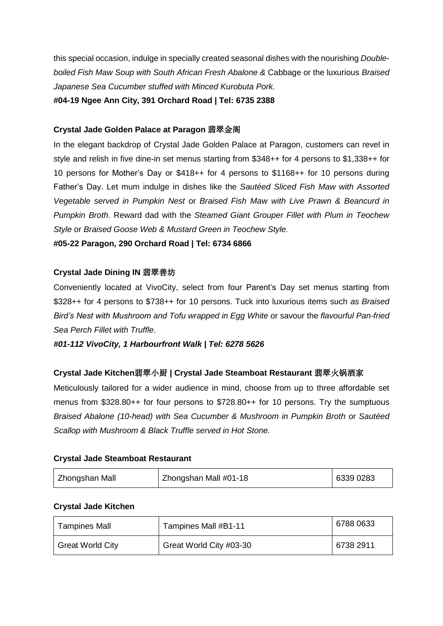this special occasion, indulge in specially created seasonal dishes with the nourishing *Doubleboiled Fish Maw Soup with South African Fresh Abalone &* Cabbage or the luxurious *Braised Japanese Sea Cucumber stuffed with Minced Kurobuta Pork.* 

**#04-19 Ngee Ann City, 391 Orchard Road | Tel: 6735 2388**

# **Crystal Jade Golden Palace at Paragon** 翡翠金阁

In the elegant backdrop of Crystal Jade Golden Palace at Paragon, customers can revel in style and relish in five dine-in set menus starting from \$348++ for 4 persons to \$1,338++ for 10 persons for Mother's Day or \$418++ for 4 persons to \$1168++ for 10 persons during Father's Day. Let mum indulge in dishes like the *Sautéed Sliced Fish Maw with Assorted Vegetable served in Pumpkin Nest* or *Braised Fish Maw with Live Prawn & Beancurd in Pumpkin Broth*. Reward dad with the *Steamed Giant Grouper Fillet with Plum in Teochew Style* or *Braised Goose Web & Mustard Green in Teochew Style.*

**#05-22 Paragon, 290 Orchard Road | Tel: 6734 6866**

# **Crystal Jade Dining IN** 翡翠善坊

Conveniently located at VivoCity, select from four Parent's Day set menus starting from \$328++ for 4 persons to \$738++ for 10 persons. Tuck into luxurious items such *as Braised Bird's Nest with Mushroom and Tofu wrapped in Egg White* or savour the *flavourful Pan-fried Sea Perch Fillet with Truffle*.

*#01-112 VivoCity, 1 Harbourfront Walk | Tel: 6278 5626*

# **Crystal Jade Kitchen**翡翠小厨 **| Crystal Jade Steamboat Restaurant** 翡翠火锅酒家

Meticulously tailored for a wider audience in mind, choose from up to three affordable set menus from \$328.80++ for four persons to \$728.80++ for 10 persons. Try the sumptuous *Braised Abalone (10-head) with Sea Cucumber & Mushroom in Pumpkin Broth* or *Sautéed Scallop with Mushroom & Black Truffle served in Hot Stone.*

#### **Crystal Jade Steamboat Restaurant**

| Zhongshan Mall | Zhongshan Mall #01-18 | 6339 0283 |
|----------------|-----------------------|-----------|
|                |                       |           |

#### **Crystal Jade Kitchen**

| <b>Tampines Mall</b>    | Tampines Mall #B1-11    | 6788 0633 |
|-------------------------|-------------------------|-----------|
| <b>Great World City</b> | Great World City #03-30 | 6738 2911 |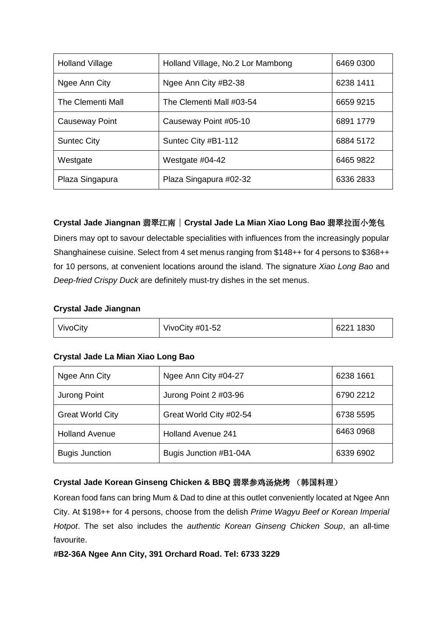| <b>Holland Village</b> | Holland Village, No.2 Lor Mambong | 6469 0300 |
|------------------------|-----------------------------------|-----------|
| Ngee Ann City          | Ngee Ann City #B2-38              | 6238 1411 |
| The Clementi Mall      | The Clementi Mall #03-54          | 6659 9215 |
| Causeway Point         | Causeway Point #05-10             | 6891 1779 |
| <b>Suntec City</b>     | Suntec City #B1-112               | 6884 5172 |
| Westgate               | Westgate $#04-42$                 | 6465 9822 |
| Plaza Singapura        | Plaza Singapura #02-32            | 6336 2833 |

# **Crystal Jade Jiangnan** 翡翠江南 | **Crystal Jade La Mian Xiao Long Bao** 翡翠拉面小笼包

Diners may opt to savour delectable specialities with influences from the increasingly popular Shanghainese cuisine. Select from 4 set menus ranging from \$148++ for 4 persons to \$368++ for 10 persons, at convenient locations around the island. The signature *Xiao Long Bao* and *Deep-fried Crispy Duck* are definitely must-try dishes in the set menus.

#### **Crystal Jade Jiangnan**

| VivoCity | VivoCity #01-52 | 6221 1830 |
|----------|-----------------|-----------|
|----------|-----------------|-----------|

# **Crystal Jade La Mian Xiao Long Bao**

| Ngee Ann City           | Ngee Ann City #04-27      | 6238 1661 |
|-------------------------|---------------------------|-----------|
| Jurong Point            | Jurong Point 2 #03-96     | 6790 2212 |
| <b>Great World City</b> | Great World City #02-54   | 6738 5595 |
| <b>Holland Avenue</b>   | <b>Holland Avenue 241</b> | 6463 0968 |
| <b>Bugis Junction</b>   | Bugis Junction #B1-04A    | 6339 6902 |

# **Crystal Jade Korean Ginseng Chicken & BBQ** 翡翠参鸡汤烧烤 (韩国料理)

Korean food fans can bring Mum & Dad to dine at this outlet conveniently located at Ngee Ann City. At \$198++ for 4 persons, choose from the delish *Prime Wagyu Beef or Korean Imperial Hotpot*. The set also includes the *authentic Korean Ginseng Chicken Soup*, an all-time favourite.

#### **#B2-36A Ngee Ann City, 391 Orchard Road. Tel: 6733 3229**